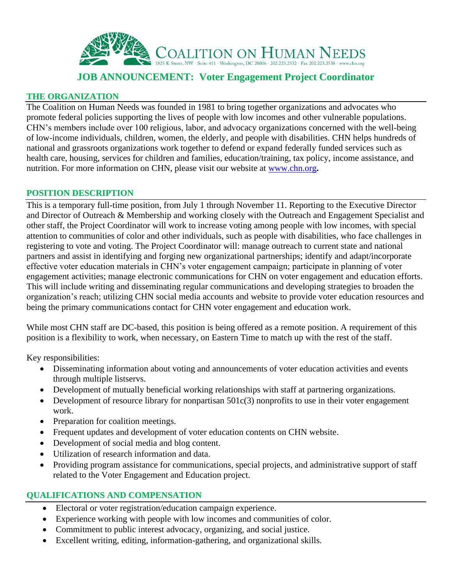

# **JOB ANNOUNCEMENT: Voter Engagement Project Coordinator**

### **THE ORGANIZATION**

The Coalition on Human Needs was founded in 1981 to bring together organizations and advocates who promote federal policies supporting the lives of people with low incomes and other vulnerable populations. CHN's members include over 100 religious, labor, and advocacy organizations concerned with the well-being of low-income individuals, children, women, the elderly, and people with disabilities. CHN helps hundreds of national and grassroots organizations work together to defend or expand federally funded services such as health care, housing, services for children and families, education/training, tax policy, income assistance, and nutrition. For more information on CHN, please visit our website at [www.chn.org](http://www.chn.org/)**.**

#### **POSITION DESCRIPTION**

This is a temporary full-time position, from July 1 through November 11. Reporting to the Executive Director and Director of Outreach & Membership and working closely with the Outreach and Engagement Specialist and other staff, the Project Coordinator will work to increase voting among people with low incomes, with special attention to communities of color and other individuals, such as people with disabilities, who face challenges in registering to vote and voting. The Project Coordinator will: manage outreach to current state and national partners and assist in identifying and forging new organizational partnerships; identify and adapt/incorporate effective voter education materials in CHN's voter engagement campaign; participate in planning of voter engagement activities; manage electronic communications for CHN on voter engagement and education efforts. This will include writing and disseminating regular communications and developing strategies to broaden the organization's reach; utilizing CHN social media accounts and website to provide voter education resources and being the primary communications contact for CHN voter engagement and education work.

While most CHN staff are DC-based, this position is being offered as a remote position. A requirement of this position is a flexibility to work, when necessary, on Eastern Time to match up with the rest of the staff.

Key responsibilities:

- Disseminating information about voting and announcements of voter education activities and events through multiple listservs.
- Development of mutually beneficial working relationships with staff at partnering organizations.
- Development of resource library for nonpartisan  $501c(3)$  nonprofits to use in their voter engagement work.
- Preparation for coalition meetings.
- Frequent updates and development of voter education contents on CHN website.
- Development of social media and blog content.
- Utilization of research information and data.
- Providing program assistance for communications, special projects, and administrative support of staff related to the Voter Engagement and Education project.

## **QUALIFICATIONS AND COMPENSATION**

- Electoral or voter registration/education campaign experience.
- Experience working with people with low incomes and communities of color.
- Commitment to public interest advocacy, organizing, and social justice.
- Excellent writing, editing, information-gathering, and organizational skills.